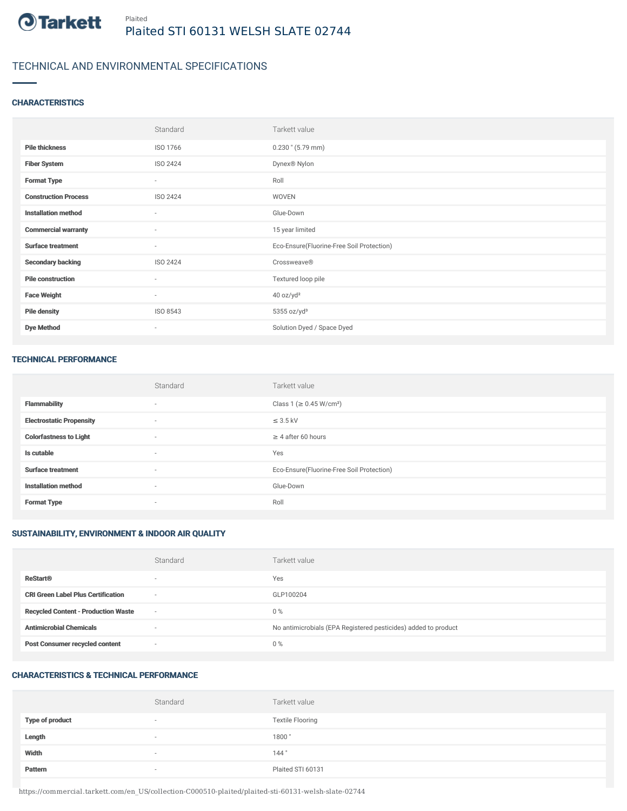

### TECHNICAL AND ENVIRONMENTAL SPECIFICATIONS

#### **CHARACTERISTICS**

|                             | Standard                 | Tarkett value                             |
|-----------------------------|--------------------------|-------------------------------------------|
| <b>Pile thickness</b>       | ISO 1766                 | $0.230$ " (5.79 mm)                       |
| <b>Fiber System</b>         | ISO 2424                 | Dynex® Nylon                              |
| <b>Format Type</b>          | $\sim$                   | Roll                                      |
| <b>Construction Process</b> | ISO 2424                 | WOVEN                                     |
| <b>Installation method</b>  | ٠                        | Glue-Down                                 |
| <b>Commercial warranty</b>  | $\overline{\phantom{a}}$ | 15 year limited                           |
| <b>Surface treatment</b>    | ٠                        | Eco-Ensure(Fluorine-Free Soil Protection) |
| <b>Secondary backing</b>    | ISO 2424                 | Crossweave®                               |
| <b>Pile construction</b>    | $\sim$                   | Textured loop pile                        |
| <b>Face Weight</b>          | $\sim$                   | 40 oz/yd <sup>2</sup>                     |
| <b>Pile density</b>         | ISO 8543                 | $5355$ oz/yd <sup>3</sup>                 |
| <b>Dye Method</b>           | ٠                        | Solution Dyed / Space Dyed                |

#### TECHNICAL PERFORMANCE

|                                 | Standard                 | Tarkett value                             |
|---------------------------------|--------------------------|-------------------------------------------|
| <b>Flammability</b>             | $\overline{\phantom{a}}$ | Class 1 (≥ 0.45 W/cm <sup>2</sup> )       |
| <b>Electrostatic Propensity</b> | $\overline{\phantom{a}}$ | $\leq$ 3.5 kV                             |
| <b>Colorfastness to Light</b>   | $\overline{\phantom{a}}$ | $\geq$ 4 after 60 hours                   |
| Is cutable                      | $\overline{\phantom{a}}$ | Yes                                       |
| <b>Surface treatment</b>        |                          | Eco-Ensure(Fluorine-Free Soil Protection) |
| <b>Installation method</b>      | $\overline{\phantom{a}}$ | Glue-Down                                 |
| <b>Format Type</b>              |                          | Roll                                      |

#### SUSTAINABILITY, ENVIRONMENT & INDOOR AIR QUALITY

|                                            | Standard                 | Tarkett value                                                  |
|--------------------------------------------|--------------------------|----------------------------------------------------------------|
| <b>ReStart®</b>                            | $\sim$                   | Yes                                                            |
| <b>CRI Green Label Plus Certification</b>  | $\sim$                   | GLP100204                                                      |
| <b>Recycled Content - Production Waste</b> | $\sim$                   | $0\%$                                                          |
| <b>Antimicrobial Chemicals</b>             | $\overline{\phantom{a}}$ | No antimicrobials (EPA Registered pesticides) added to product |
| <b>Post Consumer recycled content</b>      | $\sim$                   | $0\%$                                                          |

#### CHARACTERISTICS & TECHNICAL PERFORMANCE

|                        | Standard                 | Tarkett value           |
|------------------------|--------------------------|-------------------------|
| <b>Type of product</b> | $\overline{\phantom{a}}$ | <b>Textile Flooring</b> |
| Length                 | $\sim$                   | 1800"                   |
| Width                  | $\sim$                   | 144"                    |
| Pattern                | $\overline{\phantom{a}}$ | Plaited STI 60131       |

https://commercial.tarkett.com/en\_US/collection-C000510-plaited/plaited-sti-60131-welsh-slate-02744